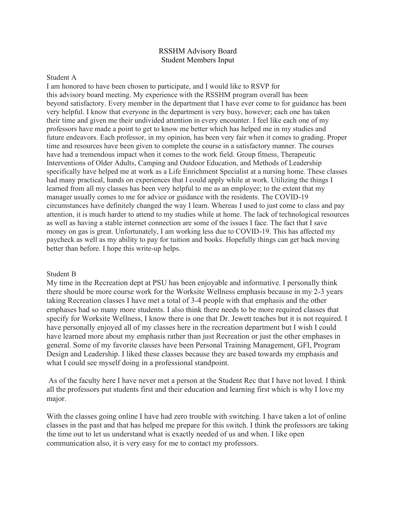### RSSHM Advisory Board Student Members Input

#### Student A

I am honored to have been chosen to participate, and I would like to RSVP for this advisory board meeting. My experience with the RSSHM program overall has been beyond satisfactory. Every member in the department that I have ever come to for guidance has been very helpful. I know that everyone in the department is very busy, however; each one has taken their time and given me their undivided attention in every encounter. I feel like each one of my professors have made a point to get to know me better which has helped me in my studies and future endeavors. Each professor, in my opinion, has been very fair when it comes to grading. Proper time and resources have been given to complete the course in a satisfactory manner. The courses have had a tremendous impact when it comes to the work field. Group fitness, Therapeutic Interventions of Older Adults, Camping and Outdoor Education, and Methods of Leadership specifically have helped me at work as a Life Enrichment Specialist at a nursing home. These classes had many practical, hands on experiences that I could apply while at work. Utilizing the things I learned from all my classes has been very helpful to me as an employee; to the extent that my manager usually comes to me for advice or guidance with the residents. The COVID-19 circumstances have definitely changed the way I learn. Whereas I used to just come to class and pay attention, it is much harder to attend to my studies while at home. The lack of technological resources as well as having a stable internet connection are some of the issues I face. The fact that I save money on gas is great. Unfortunately, I am working less due to COVID-19. This has affected my paycheck as well as my ability to pay for tuition and books. Hopefully things can get back moving better than before. I hope this write-up helps.

#### Student B

My time in the Recreation dept at PSU has been enjoyable and informative. I personally think there should be more course work for the Worksite Wellness emphasis because in my 2-3 years taking Recreation classes I have met a total of 3-4 people with that emphasis and the other emphases had so many more students. I also think there needs to be more required classes that specify for Worksite Wellness, I know there is one that Dr. Jewett teaches but it is not required. I have personally enjoyed all of my classes here in the recreation department but I wish I could have learned more about my emphasis rather than just Recreation or just the other emphases in general. Some of my favorite classes have been Personal Training Management, GFI, Program Design and Leadership. I liked these classes because they are based towards my emphasis and what I could see myself doing in a professional standpoint.

As of the faculty here I have never met a person at the Student Rec that I have not loved. I think all the professors put students first and their education and learning first which is why I love my major.

With the classes going online I have had zero trouble with switching. I have taken a lot of online classes in the past and that has helped me prepare for this switch. I think the professors are taking the time out to let us understand what is exactly needed of us and when. I like open communication also, it is very easy for me to contact my professors.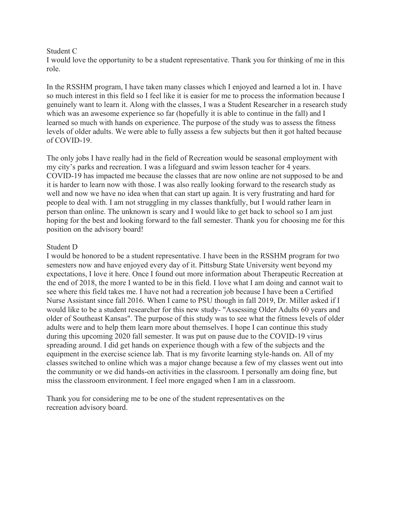### Student C

I would love the opportunity to be a student representative. Thank you for thinking of me in this role.

In the RSSHM program, I have taken many classes which I enjoyed and learned a lot in. I have so much interest in this field so I feel like it is easier for me to process the information because I genuinely want to learn it. Along with the classes, I was a Student Researcher in a research study which was an awesome experience so far (hopefully it is able to continue in the fall) and I learned so much with hands on experience. The purpose of the study was to assess the fitness levels of older adults. We were able to fully assess a few subjects but then it got halted because of COVID-19.

The only jobs I have really had in the field of Recreation would be seasonal employment with my city's parks and recreation. I was a lifeguard and swim lesson teacher for 4 years. COVID-19 has impacted me because the classes that are now online are not supposed to be and it is harder to learn now with those. I was also really looking forward to the research study as well and now we have no idea when that can start up again. It is very frustrating and hard for people to deal with. I am not struggling in my classes thankfully, but I would rather learn in person than online. The unknown is scary and I would like to get back to school so I am just hoping for the best and looking forward to the fall semester. Thank you for choosing me for this position on the advisory board!

# Student D

I would be honored to be a student representative. I have been in the RSSHM program for two semesters now and have enjoyed every day of it. Pittsburg State University went beyond my expectations, I love it here. Once I found out more information about Therapeutic Recreation at the end of 2018, the more I wanted to be in this field. I love what I am doing and cannot wait to see where this field takes me. I have not had a recreation job because I have been a Certified Nurse Assistant since fall 2016. When I came to PSU though in fall 2019, Dr. Miller asked if I would like to be a student researcher for this new study- "Assessing Older Adults 60 years and older of Southeast Kansas". The purpose of this study was to see what the fitness levels of older adults were and to help them learn more about themselves. I hope I can continue this study during this upcoming 2020 fall semester. It was put on pause due to the COVID-19 virus spreading around. I did get hands on experience though with a few of the subjects and the equipment in the exercise science lab. That is my favorite learning style-hands on. All of my classes switched to online which was a major change because a few of my classes went out into the community or we did hands-on activities in the classroom. I personally am doing fine, but miss the classroom environment. I feel more engaged when I am in a classroom.

Thank you for considering me to be one of the student representatives on the recreation advisory board.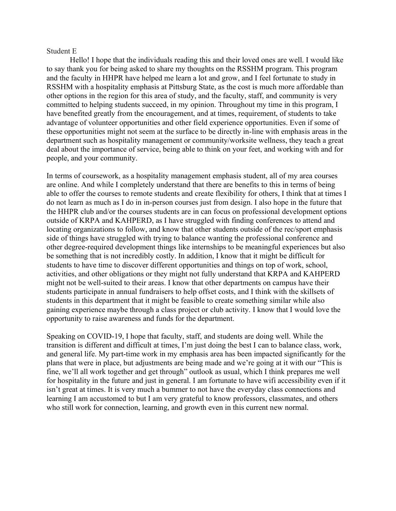### Student E

Hello! I hope that the individuals reading this and their loved ones are well. I would like to say thank you for being asked to share my thoughts on the RSSHM program. This program and the faculty in HHPR have helped me learn a lot and grow, and I feel fortunate to study in RSSHM with a hospitality emphasis at Pittsburg State, as the cost is much more affordable than other options in the region for this area of study, and the faculty, staff, and community is very committed to helping students succeed, in my opinion. Throughout my time in this program, I have benefited greatly from the encouragement, and at times, requirement, of students to take advantage of volunteer opportunities and other field experience opportunities. Even if some of these opportunities might not seem at the surface to be directly in-line with emphasis areas in the department such as hospitality management or community/worksite wellness, they teach a great deal about the importance of service, being able to think on your feet, and working with and for people, and your community.

In terms of coursework, as a hospitality management emphasis student, all of my area courses are online. And while I completely understand that there are benefits to this in terms of being able to offer the courses to remote students and create flexibility for others, I think that at times I do not learn as much as I do in in-person courses just from design. I also hope in the future that the HHPR club and/or the courses students are in can focus on professional development options outside of KRPA and KAHPERD, as I have struggled with finding conferences to attend and locating organizations to follow, and know that other students outside of the rec/sport emphasis side of things have struggled with trying to balance wanting the professional conference and other degree-required development things like internships to be meaningful experiences but also be something that is not incredibly costly. In addition, I know that it might be difficult for students to have time to discover different opportunities and things on top of work, school, activities, and other obligations or they might not fully understand that KRPA and KAHPERD might not be well-suited to their areas. I know that other departments on campus have their students participate in annual fundraisers to help offset costs, and I think with the skillsets of students in this department that it might be feasible to create something similar while also gaining experience maybe through a class project or club activity. I know that I would love the opportunity to raise awareness and funds for the department.

Speaking on COVID-19, I hope that faculty, staff, and students are doing well. While the transition is different and difficult at times, I'm just doing the best I can to balance class, work, and general life. My part-time work in my emphasis area has been impacted significantly for the plans that were in place, but adjustments are being made and we're going at it with our "This is fine, we'll all work together and get through" outlook as usual, which I think prepares me well for hospitality in the future and just in general. I am fortunate to have wifi accessibility even if it isn't great at times. It is very much a bummer to not have the everyday class connections and learning I am accustomed to but I am very grateful to know professors, classmates, and others who still work for connection, learning, and growth even in this current new normal.